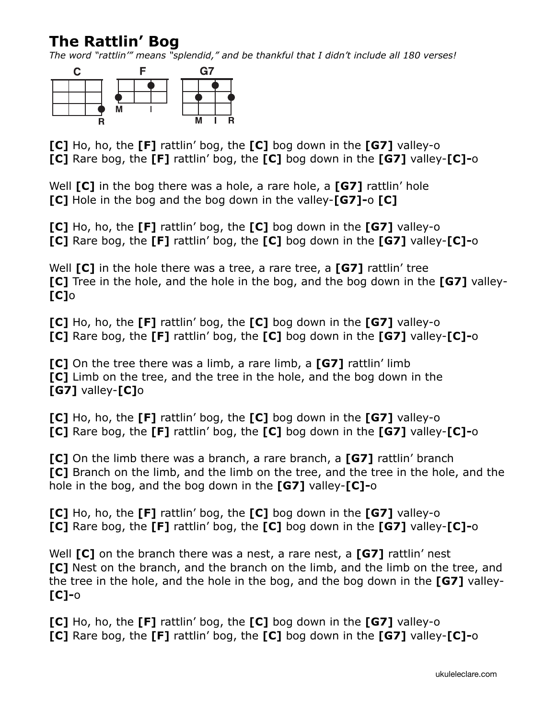## **The Rattlin' Bog**

*The word "rattlin'" means "splendid," and be thankful that I didn't include all 180 verses!* 



**[C]** Ho, ho, the **[F]** rattlin' bog, the **[C]** bog down in the **[G7]** valley-o **[C]** Rare bog, the **[F]** rattlin' bog, the **[C]** bog down in the **[G7]** valley-**[C]-**o

Well **[C]** in the bog there was a hole, a rare hole, a **[G7]** rattlin' hole **[C]** Hole in the bog and the bog down in the valley-**[G7]-**o **[C]**

**[C]** Ho, ho, the **[F]** rattlin' bog, the **[C]** bog down in the **[G7]** valley-o **[C]** Rare bog, the **[F]** rattlin' bog, the **[C]** bog down in the **[G7]** valley-**[C]-**o

Well **[C]** in the hole there was a tree, a rare tree, a **[G7]** rattlin' tree **[C]** Tree in the hole, and the hole in the bog, and the bog down in the **[G7]** valley- **[C]**o

**[C]** Ho, ho, the **[F]** rattlin' bog, the **[C]** bog down in the **[G7]** valley-o **[C]** Rare bog, the **[F]** rattlin' bog, the **[C]** bog down in the **[G7]** valley-**[C]-**o

**[C]** On the tree there was a limb, a rare limb, a **[G7]** rattlin' limb **[C]** Limb on the tree, and the tree in the hole, and the bog down in the **[G7]** valley-**[C]**o

**[C]** Ho, ho, the **[F]** rattlin' bog, the **[C]** bog down in the **[G7]** valley-o **[C]** Rare bog, the **[F]** rattlin' bog, the **[C]** bog down in the **[G7]** valley-**[C]-**o

**[C]** On the limb there was a branch, a rare branch, a **[G7]** rattlin' branch **[C]** Branch on the limb, and the limb on the tree, and the tree in the hole, and the hole in the bog, and the bog down in the **[G7]** valley-**[C]-**o

**[C]** Ho, ho, the **[F]** rattlin' bog, the **[C]** bog down in the **[G7]** valley-o **[C]** Rare bog, the **[F]** rattlin' bog, the **[C]** bog down in the **[G7]** valley-**[C]-**o

Well **[C]** on the branch there was a nest, a rare nest, a **[G7]** rattlin' nest **[C]** Nest on the branch, and the branch on the limb, and the limb on the tree, and the tree in the hole, and the hole in the bog, and the bog down in the **[G7]** valley- **[C]-**o

**[C]** Ho, ho, the **[F]** rattlin' bog, the **[C]** bog down in the **[G7]** valley-o **[C]** Rare bog, the **[F]** rattlin' bog, the **[C]** bog down in the **[G7]** valley-**[C]-**o